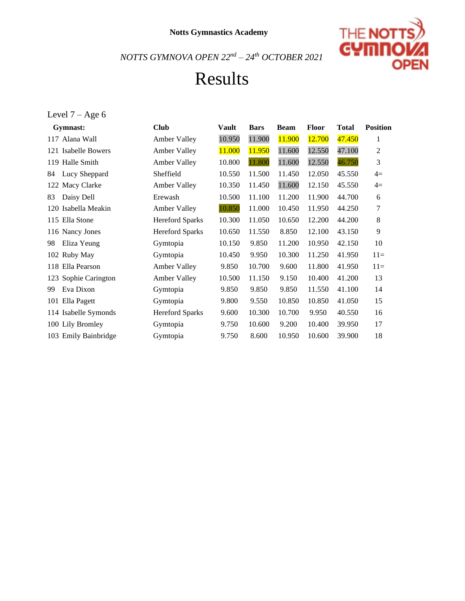

### Results

### Level  $7-{\rm Age}$   $6$

| Gymnast:             | <b>Club</b>            | <b>Vault</b> | <b>Bars</b> | <b>Beam</b> | <b>Floor</b> | <b>Total</b> | <b>Position</b> |
|----------------------|------------------------|--------------|-------------|-------------|--------------|--------------|-----------------|
| 117 Alana Wall       | Amber Valley           | 10.950       | 11.900      | 11.900      | 12.700       | 47.450       | 1               |
| 121 Isabelle Bowers  | Amber Valley           | 11.000       | 11.950      | 11.600      | 12.550       | 47.100       | 2               |
| 119 Halle Smith      | Amber Valley           | 10.800       | 11.800      | 11.600      | 12.550       | 46.750       | 3               |
| Lucy Sheppard<br>84  | Sheffield              | 10.550       | 11.500      | 11.450      | 12.050       | 45.550       | $4=$            |
| 122 Macy Clarke      | <b>Amber Valley</b>    | 10.350       | 11.450      | 11.600      | 12.150       | 45.550       | $4=$            |
| Daisy Dell<br>83     | Erewash                | 10.500       | 11.100      | 11.200      | 11.900       | 44.700       | 6               |
| 120 Isabella Meakin  | Amber Valley           | 10.850       | 11.000      | 10.450      | 11.950       | 44.250       | 7               |
| 115 Ella Stone       | <b>Hereford Sparks</b> | 10.300       | 11.050      | 10.650      | 12.200       | 44.200       | 8               |
| 116 Nancy Jones      | <b>Hereford Sparks</b> | 10.650       | 11.550      | 8.850       | 12.100       | 43.150       | 9               |
| Eliza Yeung<br>98    | Gymtopia               | 10.150       | 9.850       | 11.200      | 10.950       | 42.150       | 10              |
| 102 Ruby May         | Gymtopia               | 10.450       | 9.950       | 10.300      | 11.250       | 41.950       | $11=$           |
| Ella Pearson<br>118  | Amber Valley           | 9.850        | 10.700      | 9.600       | 11.800       | 41.950       | $11=$           |
| 123 Sophie Carington | <b>Amber Valley</b>    | 10.500       | 11.150      | 9.150       | 10.400       | 41.200       | 13              |
| Eva Dixon<br>99      | Gymtopia               | 9.850        | 9.850       | 9.850       | 11.550       | 41.100       | 14              |
| Ella Pagett<br>101   | Gymtopia               | 9.800        | 9.550       | 10.850      | 10.850       | 41.050       | 15              |
| 114 Isabelle Symonds | <b>Hereford Sparks</b> | 9.600        | 10.300      | 10.700      | 9.950        | 40.550       | 16              |
| 100 Lily Bromley     | Gymtopia               | 9.750        | 10.600      | 9.200       | 10.400       | 39.950       | 17              |
| 103 Emily Bainbridge | Gymtopia               | 9.750        | 8.600       | 10.950      | 10.600       | 39.900       | 18              |
|                      |                        |              |             |             |              |              |                 |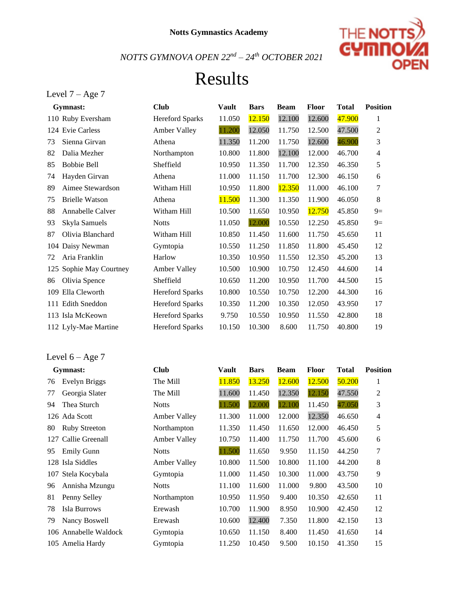

## Results

| Level 7 |  |  |  | $-$ Age 7 |  |
|---------|--|--|--|-----------|--|
|---------|--|--|--|-----------|--|

Level 6 – Age 7

|     | Gymnast:              | <b>Club</b>            | <b>Vault</b> | <b>Bars</b> | <b>Beam</b> | <b>Floor</b> | <b>Total</b> | <b>Position</b>  |
|-----|-----------------------|------------------------|--------------|-------------|-------------|--------------|--------------|------------------|
|     | 110 Ruby Eversham     | <b>Hereford Sparks</b> | 11.050       | 12.150      | 12.100      | 12.600       | 47.900       | 1                |
|     | 124 Evie Carless      | Amber Valley           | 11.200       | 12.050      | 11.750      | 12.500       | 47.500       | 2                |
| 73  | Sienna Girvan         | Athena                 | 11.350       | 11.200      | 11.750      | 12.600       | 46.900       | 3                |
| 82  | Dalia Mezher          | Northampton            | 10.800       | 11.800      | 12.100      | 12.000       | 46.700       | $\overline{4}$   |
| 85  | <b>Bobbie Bell</b>    | Sheffield              | 10.950       | 11.350      | 11.700      | 12.350       | 46.350       | 5                |
| 74  | Hayden Girvan         | Athena                 | 11.000       | 11.150      | 11.700      | 12.300       | 46.150       | $\boldsymbol{6}$ |
| 89  | Aimee Stewardson      | Witham Hill            | 10.950       | 11.800      | 12.350      | 11.000       | 46.100       | $\tau$           |
| 75  | <b>Brielle Watson</b> | Athena                 | 11.500       | 11.300      | 11.350      | 11.900       | 46.050       | 8                |
| 88  | Annabelle Calver      | Witham Hill            | 10.500       | 11.650      | 10.950      | 12.750       | 45.850       | $9=$             |
| 93  | Skyla Samuels         | <b>Notts</b>           | 11.050       | 12.000      | 10.550      | 12.250       | 45.850       | $9=$             |
| 87  | Olivia Blanchard      | Witham Hill            | 10.850       | 11.450      | 11.600      | 11.750       | 45.650       | 11               |
| 104 | Daisy Newman          | Gymtopia               | 10.550       | 11.250      | 11.850      | 11.800       | 45.450       | 12               |
| 72  | Aria Franklin         | Harlow                 | 10.350       | 10.950      | 11.550      | 12.350       | 45.200       | 13               |
| 125 | Sophie May Courtney   | <b>Amber Valley</b>    | 10.500       | 10.900      | 10.750      | 12.450       | 44.600       | 14               |
| 86  | Olivia Spence         | Sheffield              | 10.650       | 11.200      | 10.950      | 11.700       | 44.500       | 15               |
|     | 109 Ella Cleworth     | <b>Hereford Sparks</b> | 10.800       | 10.550      | 10.750      | 12.200       | 44.300       | 16               |
|     | 111 Edith Sneddon     | <b>Hereford Sparks</b> | 10.350       | 11.200      | 10.350      | 12.050       | 43.950       | 17               |
|     | 113 Isla McKeown      | <b>Hereford Sparks</b> | 9.750        | 10.550      | 10.950      | 11.550       | 42.800       | 18               |
|     | 112 Lyly-Mae Martine  | <b>Hereford Sparks</b> | 10.150       | 10.300      | 8.600       | 11.750       | 40.800       | 19               |

| Gymnast:                   | <b>Club</b>         | Vault  | <b>Bars</b> | <b>Beam</b> | <b>Floor</b> | <b>Total</b> | <b>Position</b> |
|----------------------------|---------------------|--------|-------------|-------------|--------------|--------------|-----------------|
| Evelyn Briggs<br>76        | The Mill            | 11.850 | 13.250      | 12.600      | 12.500       | 50.200       |                 |
| Georgia Slater<br>77       | The Mill            | 11.600 | 11.450      | 12.350      | 12.150       | 47.550       | 2               |
| Thea Sturch<br>94          | <b>Notts</b>        | 11.500 | 12.000      | 12.100      | 11.450       | 47.050       | 3               |
| 126 Ada Scott              | Amber Valley        | 11.300 | 11.000      | 12.000      | 12.350       | 46.650       | 4               |
| <b>Ruby Streeton</b><br>80 | Northampton         | 11.350 | 11.450      | 11.650      | 12.000       | 46.450       | 5               |
| 127 Callie Greenall        | <b>Amber Valley</b> | 10.750 | 11.400      | 11.750      | 11.700       | 45.600       | 6               |
| <b>Emily Gunn</b><br>95    | <b>Notts</b>        | 11.500 | 11.650      | 9.950       | 11.150       | 44.250       | 7               |
| 128 Isla Siddles           | <b>Amber Valley</b> | 10.800 | 11.500      | 10.800      | 11.100       | 44.200       | 8               |
| 107 Stela Kocybala         | Gymtopia            | 11.000 | 11.450      | 10.300      | 11.000       | 43.750       | 9               |

| 94 | Thea Sturch           | <b>Notts</b>        | 11.500 | 12.000 | 12.100 | 11.450 | 47.050 | 3               |
|----|-----------------------|---------------------|--------|--------|--------|--------|--------|-----------------|
|    | 126 Ada Scott         | <b>Amber Valley</b> | 11.300 | 11.000 | 12.000 | 12.350 | 46.650 | $\overline{4}$  |
| 80 | <b>Ruby Streeton</b>  | Northampton         | 11.350 | 11.450 | 11.650 | 12.000 | 46.450 | 5               |
|    | 127 Callie Greenall   | Amber Valley        | 10.750 | 11.400 | 11.750 | 11.700 | 45.600 | 6               |
| 95 | <b>Emily Gunn</b>     | <b>Notts</b>        | 11.500 | 11.650 | 9.950  | 11.150 | 44.250 | $7\phantom{.0}$ |
|    | 128 Isla Siddles      | Amber Valley        | 10.800 | 11.500 | 10.800 | 11.100 | 44.200 | 8               |
|    | 107 Stela Kocybala    | Gymtopia            | 11.000 | 11.450 | 10.300 | 11.000 | 43.750 | 9               |
| 96 | Annisha Mzungu        | <b>Notts</b>        | 11.100 | 11.600 | 11.000 | 9.800  | 43.500 | 10              |
| 81 | Penny Selley          | Northampton         | 10.950 | 11.950 | 9.400  | 10.350 | 42.650 | 11              |
| 78 | Isla Burrows          | Erewash             | 10.700 | 11.900 | 8.950  | 10.900 | 42.450 | 12              |
| 79 | Nancy Boswell         | Erewash             | 10.600 | 12.400 | 7.350  | 11.800 | 42.150 | 13              |
|    | 106 Annabelle Waldock | Gymtopia            | 10.650 | 11.150 | 8.400  | 11.450 | 41.650 | 14              |
|    | 105 Amelia Hardy      | Gymtopia            | 11.250 | 10.450 | 9.500  | 10.150 | 41.350 | 15              |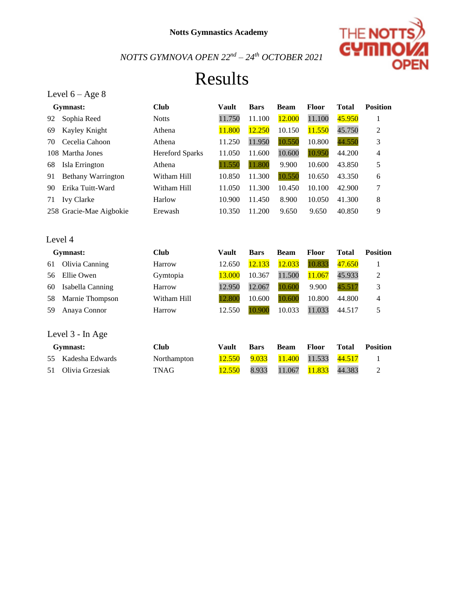

# Results

|    | Level $6 - Age 8$         |                        |              |             |             |        |              |                 |
|----|---------------------------|------------------------|--------------|-------------|-------------|--------|--------------|-----------------|
|    | Gymnast:                  | <b>Club</b>            | Vault        | <b>Bars</b> | <b>Beam</b> | Floor  | <b>Total</b> | <b>Position</b> |
| 92 | Sophia Reed               | <b>Notts</b>           | 11.750       | 11.100      | 12.000      | 11.100 | 45.950       | 1               |
| 69 | Kayley Knight             | Athena                 | 11.800       | 12.250      | 10.150      | 11.550 | 45.750       | 2               |
| 70 | Cecelia Cahoon            | Athena                 | 11.250       | 11.950      | 10.550      | 10.800 | 44.550       | 3               |
|    | 108 Martha Jones          | <b>Hereford Sparks</b> | 11.050       | 11.600      | 10.600      | 10.950 | 44.200       | 4               |
| 68 | Isla Errington            | Athena                 | 11.550       | 11.800      | 9.900       | 10.600 | 43.850       | 5               |
| 91 | <b>Bethany Warrington</b> | Witham Hill            | 10.850       | 11.300      | 10.550      | 10.650 | 43.350       | 6               |
| 90 | Erika Tuitt-Ward          | Witham Hill            | 11.050       | 11.300      | 10.450      | 10.100 | 42.900       | 7               |
| 71 | <b>Ivy Clarke</b>         | Harlow                 | 10.900       | 11.450      | 8.900       | 10.050 | 41.300       | 8               |
|    | 258 Gracie-Mae Aigbokie   | Erewash                | 10.350       | 11.200      | 9.650       | 9.650  | 40.850       | 9               |
|    |                           |                        |              |             |             |        |              |                 |
|    | Level 4                   |                        |              |             |             |        |              |                 |
|    | Gymnast:                  | <b>Club</b>            | <b>Vault</b> | <b>Bars</b> | <b>Beam</b> | Floor  | <b>Total</b> | <b>Position</b> |
| 61 | Olivia Canning            | Harrow                 | 12.650       | 12.133      | 12.033      | 10.833 | 47.650       | $\mathbf{1}$    |
| 56 | Ellie Owen                | Gymtopia               | 13.000       | 10.367      | 11.500      | 11.067 | 45.933       | 2               |
| 60 | Isabella Canning          | Harrow                 | 12.950       | 12.067      | 10.600      | 9.900  | 45.517       | 3               |
| 58 | Marnie Thompson           | Witham Hill            | 12.800       | 10.600      | 10.600      | 10.800 | 44.800       | 4               |
| 59 | Anaya Connor              | Harrow                 | 12.550       | 10.900      | 10.033      | 11.033 | 44.517       | 5               |
|    |                           |                        |              |             |             |        |              |                 |
|    | Level 3 - In Age          |                        |              |             |             |        |              |                 |
|    | Gymnast:                  | <b>Club</b>            | <b>Vault</b> | <b>Bars</b> | <b>Beam</b> | Floor  | <b>Total</b> | <b>Position</b> |
| 55 | Kadesha Edwards           | Northampton            | 12.550       | 9.033       | 11.400      | 11.533 | 44.517       | 1               |
| 51 | Olivia Grzesiak           | TNAG                   | 12.550       | 8.933       | 11.067      | 11.833 | 44.383       | 2               |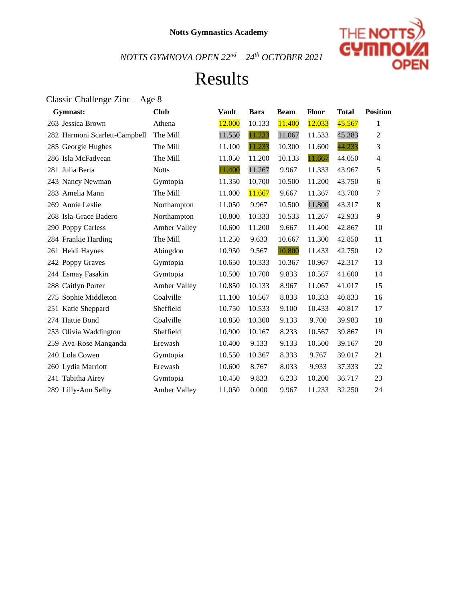

### Results

### Classic Challenge Zinc – Age 8 **Gymnast: Club Vault Bars Beam Floor Total Position**  263 Jessica Brown Athena 12.000 10.133 11.400 12.033 45.567 1 Harmoni Scarlett-Campbell The Mill 11.550 11.233 11.067 11.533 45.383 2 285 Georgie Hughes The Mill 11.100 11.233 10.300 11.600 44.233 3 Isla McFadyean The Mill 11.050 11.200 10.133 11.667 44.050 4 Julia Berta Notts 11.400 11.267 9.967 11.333 43.967 5 Nancy Newman Gymtopia 11.350 10.700 10.500 11.200 43.750 6 283 Amelia Mann The Mill 11.000 11.667 9.667 11.367 43.700 7 Annie Leslie Northampton 11.050 9.967 10.500 11.800 43.317 8 Isla-Grace Badero Northampton 10.800 10.333 10.533 11.267 42.933 9 Poppy Carless Amber Valley 10.600 11.200 9.667 11.400 42.867 10 Frankie Harding The Mill 11.250 9.633 10.667 11.300 42.850 11 Heidi Haynes Abingdon 10.950 9.567 10.800 11.433 42.750 12 Poppy Graves Gymtopia 10.650 10.333 10.367 10.967 42.317 13 Esmay Fasakin Gymtopia 10.500 10.700 9.833 10.567 41.600 14 Caitlyn Porter Amber Valley 10.850 10.133 8.967 11.067 41.017 15 Sophie Middleton Coalville 11.100 10.567 8.833 10.333 40.833 16 Katie Sheppard Sheffield 10.750 10.533 9.100 10.433 40.817 17 Hattie Bond Coalville 10.850 10.300 9.133 9.700 39.983 18 Olivia Waddington Sheffield 10.900 10.167 8.233 10.567 39.867 19 Ava-Rose Manganda Erewash 10.400 9.133 9.133 10.500 39.167 20 Lola Cowen Gymtopia 10.550 10.367 8.333 9.767 39.017 21 Lydia Marriott Erewash 10.600 8.767 8.033 9.933 37.333 22 Tabitha Airey Gymtopia 10.450 9.833 6.233 10.200 36.717 23 Lilly-Ann Selby Amber Valley 11.050 0.000 9.967 11.233 32.250 24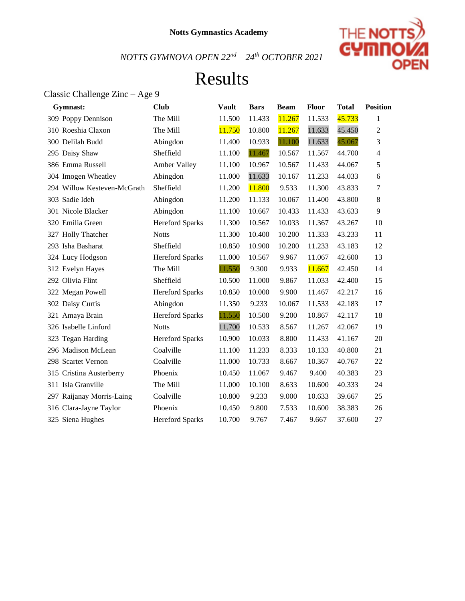

# Results

### Classic Challenge Zinc – Age 9

| Gymnast:                    | <b>Club</b>            | <b>Vault</b> | <b>Bars</b> | <b>Beam</b> | Floor  | <b>Total</b> | <b>Position</b> |
|-----------------------------|------------------------|--------------|-------------|-------------|--------|--------------|-----------------|
| 309 Poppy Dennison          | The Mill               | 11.500       | 11.433      | 11.267      | 11.533 | 45.733       | 1               |
| 310 Roeshia Claxon          | The Mill               | 11.750       | 10.800      | 11.267      | 11.633 | 45.450       | $\overline{2}$  |
| 300 Delilah Budd            | Abingdon               | 11.400       | 10.933      | 11.100      | 11.633 | 45.067       | 3               |
| 295 Daisy Shaw              | Sheffield              | 11.100       | 11.467      | 10.567      | 11.567 | 44.700       | 4               |
| 386 Emma Russell            | Amber Valley           | 11.100       | 10.967      | 10.567      | 11.433 | 44.067       | 5               |
| 304 Imogen Wheatley         | Abingdon               | 11.000       | 11.633      | 10.167      | 11.233 | 44.033       | 6               |
| 294 Willow Kesteven-McGrath | Sheffield              | 11.200       | 11.800      | 9.533       | 11.300 | 43.833       | $\tau$          |
| 303 Sadie Ideh              | Abingdon               | 11.200       | 11.133      | 10.067      | 11.400 | 43.800       | 8               |
| 301 Nicole Blacker          | Abingdon               | 11.100       | 10.667      | 10.433      | 11.433 | 43.633       | 9               |
| 320 Emilia Green            | <b>Hereford Sparks</b> | 11.300       | 10.567      | 10.033      | 11.367 | 43.267       | 10              |
| 327 Holly Thatcher          | <b>Notts</b>           | 11.300       | 10.400      | 10.200      | 11.333 | 43.233       | 11              |
| 293 Isha Basharat           | Sheffield              | 10.850       | 10.900      | 10.200      | 11.233 | 43.183       | 12              |
| 324 Lucy Hodgson            | <b>Hereford Sparks</b> | 11.000       | 10.567      | 9.967       | 11.067 | 42.600       | 13              |
| 312 Evelyn Hayes            | The Mill               | 11.550       | 9.300       | 9.933       | 11.667 | 42.450       | 14              |
| 292 Olivia Flint            | Sheffield              | 10.500       | 11.000      | 9.867       | 11.033 | 42.400       | 15              |
| 322 Megan Powell            | <b>Hereford Sparks</b> | 10.850       | 10.000      | 9.900       | 11.467 | 42.217       | 16              |
| 302 Daisy Curtis            | Abingdon               | 11.350       | 9.233       | 10.067      | 11.533 | 42.183       | 17              |
| 321 Amaya Brain             | <b>Hereford Sparks</b> | 11.550       | 10.500      | 9.200       | 10.867 | 42.117       | 18              |
| 326 Isabelle Linford        | <b>Notts</b>           | 11.700       | 10.533      | 8.567       | 11.267 | 42.067       | 19              |
| 323 Tegan Harding           | <b>Hereford Sparks</b> | 10.900       | 10.033      | 8.800       | 11.433 | 41.167       | 20              |
| 296 Madison McLean          | Coalville              | 11.100       | 11.233      | 8.333       | 10.133 | 40.800       | 21              |
| 298 Scartet Vernon          | Coalville              | 11.000       | 10.733      | 8.667       | 10.367 | 40.767       | 22              |
| 315 Cristina Austerberry    | Phoenix                | 10.450       | 11.067      | 9.467       | 9.400  | 40.383       | 23              |
| 311 Isla Granville          | The Mill               | 11.000       | 10.100      | 8.633       | 10.600 | 40.333       | 24              |
| 297 Raijanay Morris-Laing   | Coalville              | 10.800       | 9.233       | 9.000       | 10.633 | 39.667       | 25              |
| 316 Clara-Jayne Taylor      | Phoenix                | 10.450       | 9.800       | 7.533       | 10.600 | 38.383       | 26              |
| 325 Siena Hughes            | <b>Hereford Sparks</b> | 10.700       | 9.767       | 7.467       | 9.667  | 37.600       | 27              |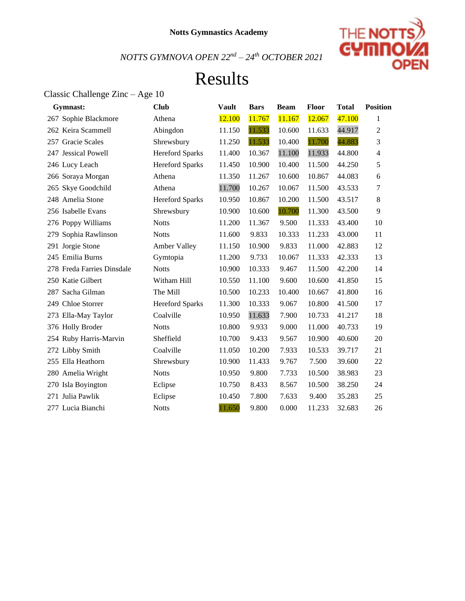

# Results

### Classic Challenge Zinc – Age 10

| Gymnast:                   | <b>Club</b>            | <b>Vault</b> | <b>Bars</b> | <b>Beam</b> | <b>Floor</b> | <b>Total</b> | <b>Position</b> |
|----------------------------|------------------------|--------------|-------------|-------------|--------------|--------------|-----------------|
| 267 Sophie Blackmore       | Athena                 | 12.100       | 11.767      | 11.167      | 12.067       | 47.100       | 1               |
| 262 Keira Scammell         | Abingdon               | 11.150       | 11.533      | 10.600      | 11.633       | 44.917       | $\overline{2}$  |
| 257 Gracie Scales          | Shrewsbury             | 11.250       | 11.533      | 10.400      | 11.700       | 44.883       | 3               |
| 247 Jessical Powell        | <b>Hereford Sparks</b> | 11.400       | 10.367      | 11.100      | 11.933       | 44.800       | $\overline{4}$  |
| 246 Lucy Leach             | Hereford Sparks        | 11.450       | 10.900      | 10.400      | 11.500       | 44.250       | 5               |
| 266 Soraya Morgan          | Athena                 | 11.350       | 11.267      | 10.600      | 10.867       | 44.083       | 6               |
| 265 Skye Goodchild         | Athena                 | 11.700       | 10.267      | 10.067      | 11.500       | 43.533       | 7               |
| 248 Amelia Stone           | <b>Hereford Sparks</b> | 10.950       | 10.867      | 10.200      | 11.500       | 43.517       | 8               |
| 256 Isabelle Evans         | Shrewsbury             | 10.900       | 10.600      | 10.700      | 11.300       | 43.500       | 9               |
| 276 Poppy Williams         | <b>Notts</b>           | 11.200       | 11.367      | 9.500       | 11.333       | 43.400       | 10              |
| 279 Sophia Rawlinson       | <b>Notts</b>           | 11.600       | 9.833       | 10.333      | 11.233       | 43.000       | 11              |
| 291 Jorgie Stone           | Amber Valley           | 11.150       | 10.900      | 9.833       | 11.000       | 42.883       | 12              |
| 245 Emilia Burns           | Gymtopia               | 11.200       | 9.733       | 10.067      | 11.333       | 42.333       | 13              |
| 278 Freda Farries Dinsdale | <b>Notts</b>           | 10.900       | 10.333      | 9.467       | 11.500       | 42.200       | 14              |
| 250 Katie Gilbert          | Witham Hill            | 10.550       | 11.100      | 9.600       | 10.600       | 41.850       | 15              |
| 287 Sacha Gilman           | The Mill               | 10.500       | 10.233      | 10.400      | 10.667       | 41.800       | 16              |
| 249 Chloe Storrer          | <b>Hereford Sparks</b> | 11.300       | 10.333      | 9.067       | 10.800       | 41.500       | 17              |
| 273 Ella-May Taylor        | Coalville              | 10.950       | 11.633      | 7.900       | 10.733       | 41.217       | 18              |
| 376 Holly Broder           | <b>Notts</b>           | 10.800       | 9.933       | 9.000       | 11.000       | 40.733       | 19              |
| 254 Ruby Harris-Marvin     | Sheffield              | 10.700       | 9.433       | 9.567       | 10.900       | 40.600       | 20              |
| 272 Libby Smith            | Coalville              | 11.050       | 10.200      | 7.933       | 10.533       | 39.717       | 21              |
| 255 Ella Heathorn          | Shrewsbury             | 10.900       | 11.433      | 9.767       | 7.500        | 39.600       | 22              |
| 280 Amelia Wright          | <b>Notts</b>           | 10.950       | 9.800       | 7.733       | 10.500       | 38.983       | 23              |
| 270 Isla Boyington         | Eclipse                | 10.750       | 8.433       | 8.567       | 10.500       | 38.250       | 24              |
| 271 Julia Pawlik           | Eclipse                | 10.450       | 7.800       | 7.633       | 9.400        | 35.283       | 25              |
| 277 Lucia Bianchi          | <b>Notts</b>           | 11.650       | 9.800       | 0.000       | 11.233       | 32.683       | 26              |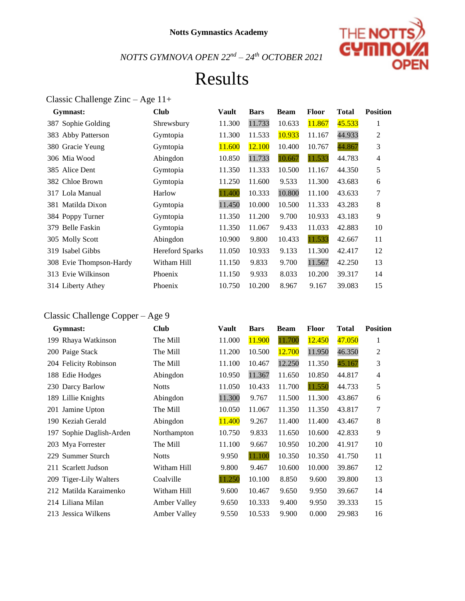

### Results

#### Classic Challenge Zinc – Age 11+

| Gymnast:                | <b>Club</b>            | Vault  | <b>Bars</b> | <b>Beam</b> | Floor  | <b>Total</b> | <b>Position</b> |
|-------------------------|------------------------|--------|-------------|-------------|--------|--------------|-----------------|
| 387 Sophie Golding      | Shrewsbury             | 11.300 | 11.733      | 10.633      | 11.867 | 45.533       | 1               |
| 383 Abby Patterson      | Gymtopia               | 11.300 | 11.533      | 10.933      | 11.167 | 44.933       | $\overline{c}$  |
| 380 Gracie Yeung        | Gymtopia               | 11.600 | 12.100      | 10.400      | 10.767 | 44.867       | 3               |
| 306 Mia Wood            | Abingdon               | 10.850 | 11.733      | 10.667      | 11.533 | 44.783       | $\overline{4}$  |
| 385 Alice Dent          | Gymtopia               | 11.350 | 11.333      | 10.500      | 11.167 | 44.350       | 5               |
| 382 Chloe Brown         | Gymtopia               | 11.250 | 11.600      | 9.533       | 11.300 | 43.683       | 6               |
| 317 Lola Manual         | Harlow                 | 11.400 | 10.333      | 10.800      | 11.100 | 43.633       | 7               |
| 381 Matilda Dixon       | Gymtopia               | 11.450 | 10.000      | 10.500      | 11.333 | 43.283       | 8               |
| 384 Poppy Turner        | Gymtopia               | 11.350 | 11.200      | 9.700       | 10.933 | 43.183       | 9               |
| 379 Belle Faskin        | Gymtopia               | 11.350 | 11.067      | 9.433       | 11.033 | 42.883       | 10              |
| 305 Molly Scott         | Abingdon               | 10.900 | 9.800       | 10.433      | 11.533 | 42.667       | 11              |
| 319 Isabel Gibbs        | <b>Hereford Sparks</b> | 11.050 | 10.933      | 9.133       | 11.300 | 42.417       | 12              |
| 308 Evie Thompson-Hardy | Witham Hill            | 11.150 | 9.833       | 9.700       | 11.567 | 42.250       | 13              |
| 313 Evie Wilkinson      | Phoenix                | 11.150 | 9.933       | 8.033       | 10.200 | 39.317       | 14              |
| 314 Liberty Athey       | Phoenix                | 10.750 | 10.200      | 8.967       | 9.167  | 39.083       | 15              |

### Classic Challenge Copper – Age 9

| Gymnast:                 | <b>Club</b>         | Vault  | <b>Bars</b> | <b>Beam</b> | <b>Floor</b> | <b>Total</b> | <b>Position</b> |
|--------------------------|---------------------|--------|-------------|-------------|--------------|--------------|-----------------|
| 199 Rhaya Watkinson      | The Mill            | 11.000 | 11.900      | 11.700      | 12.450       | 47.050       | 1               |
| 200 Paige Stack          | The Mill            | 11.200 | 10.500      | 12.700      | 11.950       | 46.350       | $\overline{c}$  |
| 204 Felicity Robinson    | The Mill            | 11.100 | 10.467      | 12.250      | 11.350       | 45.167       | 3               |
| 188 Edie Hodges          | Abingdon            | 10.950 | 11.367      | 11.650      | 10.850       | 44.817       | 4               |
| 230 Darcy Barlow         | <b>Notts</b>        | 11.050 | 10.433      | 11.700      | 11.550       | 44.733       | 5               |
| 189 Lillie Knights       | Abingdon            | 11.300 | 9.767       | 11.500      | 11.300       | 43.867       | 6               |
| 201 Jamine Upton         | The Mill            | 10.050 | 11.067      | 11.350      | 11.350       | 43.817       | 7               |
| 190 Keziah Gerald        | Abingdon            | 11.400 | 9.267       | 11.400      | 11.400       | 43.467       | 8               |
| 197 Sophie Daglish-Arden | Northampton         | 10.750 | 9.833       | 11.650      | 10.600       | 42.833       | 9               |
| 203 Mya Forrester        | The Mill            | 11.100 | 9.667       | 10.950      | 10.200       | 41.917       | 10              |
| 229 Summer Sturch        | <b>Notts</b>        | 9.950  | 11.100      | 10.350      | 10.350       | 41.750       | 11              |
| 211 Scarlett Judson      | Witham Hill         | 9.800  | 9.467       | 10.600      | 10.000       | 39.867       | 12              |
| 209 Tiger-Lily Walters   | Coalville           | 11.250 | 10.100      | 8.850       | 9.600        | 39.800       | 13              |
| 212 Matilda Karaimenko   | Witham Hill         | 9.600  | 10.467      | 9.650       | 9.950        | 39.667       | 14              |
| 214 Liliana Milan        | <b>Amber Valley</b> | 9.650  | 10.333      | 9.400       | 9.950        | 39.333       | 15              |
| 213 Jessica Wilkens      | <b>Amber Valley</b> | 9.550  | 10.533      | 9.900       | 0.000        | 29.983       | 16              |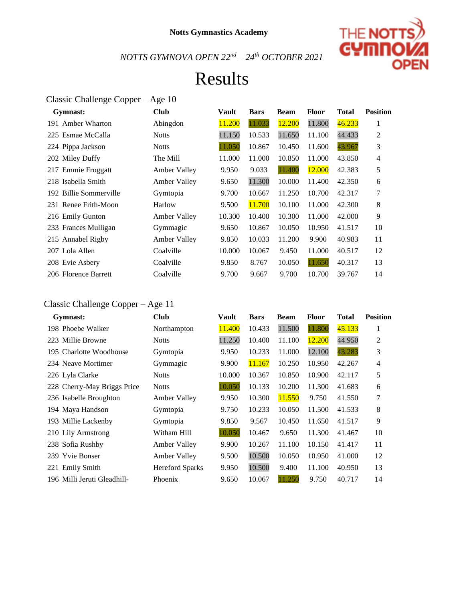

### Results

#### Classic Challenge Copper – Age 10

| Gymnast:               | <b>Club</b>         | Vault  | <b>Bars</b> | <b>Beam</b> | <b>Floor</b> | <b>Total</b> | <b>Position</b> |
|------------------------|---------------------|--------|-------------|-------------|--------------|--------------|-----------------|
| 191 Amber Wharton      | Abingdon            | 11.200 | 11.033      | 12.200      | 11.800       | 46.233       | 1               |
| 225 Esmae McCalla      | <b>Notts</b>        | 11.150 | 10.533      | 11.650      | 11.100       | 44.433       | 2               |
| 224 Pippa Jackson      | <b>Notts</b>        | 11.050 | 10.867      | 10.450      | 11.600       | 43.967       | 3               |
| 202 Miley Duffy        | The Mill            | 11.000 | 11.000      | 10.850      | 11.000       | 43.850       | $\overline{4}$  |
| 217 Emmie Froggatt     | <b>Amber Valley</b> | 9.950  | 9.033       | 11.400      | 12.000       | 42.383       | 5               |
| 218 Isabella Smith     | Amber Valley        | 9.650  | 11.300      | 10.000      | 11.400       | 42.350       | 6               |
| 192 Billie Sommerville | Gymtopia            | 9.700  | 10.667      | 11.250      | 10.700       | 42.317       | 7               |
| 231 Renee Frith-Moon   | Harlow              | 9.500  | 11.700      | 10.100      | 11.000       | 42.300       | 8               |
| 216 Emily Gunton       | <b>Amber Valley</b> | 10.300 | 10.400      | 10.300      | 11.000       | 42.000       | 9               |
| 233 Frances Mulligan   | <b>Gymmagic</b>     | 9.650  | 10.867      | 10.050      | 10.950       | 41.517       | 10              |
| 215 Annabel Rigby      | <b>Amber Valley</b> | 9.850  | 10.033      | 11.200      | 9.900        | 40.983       | 11              |
| 207 Lola Allen         | Coalville           | 10.000 | 10.067      | 9.450       | 11.000       | 40.517       | 12              |
| 208 Evie Asbery        | Coalville           | 9.850  | 8.767       | 10.050      | 11.650       | 40.317       | 13              |
| 206 Florence Barrett   | Coalville           | 9.700  | 9.667       | 9.700       | 10.700       | 39.767       | 14              |

#### Classic Challenge Copper – Age 11

| Gymnast:                    | <b>Club</b>            | Vault  | <b>Bars</b> | <b>Beam</b> | Floor  | <b>Total</b> | <b>Position</b> |
|-----------------------------|------------------------|--------|-------------|-------------|--------|--------------|-----------------|
| 198 Phoebe Walker           | Northampton            | 11.400 | 10.433      | 11.500      | 11.800 | 45.133       | 1               |
| 223 Millie Browne           | <b>Notts</b>           | 11.250 | 10.400      | 11.100      | 12.200 | 44.950       | $\overline{2}$  |
| 195 Charlotte Woodhouse     | Gymtopia               | 9.950  | 10.233      | 11.000      | 12.100 | 43.283       | 3               |
| 234 Neave Mortimer          | Gymmagic               | 9.900  | 11.167      | 10.250      | 10.950 | 42.267       | $\overline{4}$  |
| 226 Lyla Clarke             | <b>Notts</b>           | 10.000 | 10.367      | 10.850      | 10.900 | 42.117       | 5               |
| 228 Cherry-May Briggs Price | <b>Notts</b>           | 10.050 | 10.133      | 10.200      | 11.300 | 41.683       | 6               |
| 236 Isabelle Broughton      | <b>Amber Valley</b>    | 9.950  | 10.300      | 11.550      | 9.750  | 41.550       | 7               |
| 194 Maya Handson            | Gymtopia               | 9.750  | 10.233      | 10.050      | 11.500 | 41.533       | 8               |
| 193 Millie Lackenby         | Gymtopia               | 9.850  | 9.567       | 10.450      | 11.650 | 41.517       | 9               |
| 210 Lily Armstrong          | Witham Hill            | 10.050 | 10.467      | 9.650       | 11.300 | 41.467       | 10              |
| 238 Sofia Rushby            | Amber Valley           | 9.900  | 10.267      | 11.100      | 10.150 | 41.417       | 11              |
| 239 Yvie Bonser             | <b>Amber Valley</b>    | 9.500  | 10.500      | 10.050      | 10.950 | 41.000       | 12              |
| 221 Emily Smith             | <b>Hereford Sparks</b> | 9.950  | 10.500      | 9.400       | 11.100 | 40.950       | 13              |
| 196 Milli Jeruti Gleadhill- | Phoenix                | 9.650  | 10.067      | 11.250      | 9.750  | 40.717       | 14              |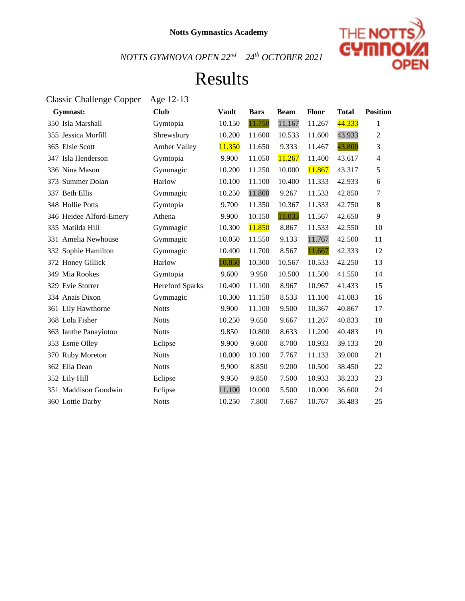

### Results

#### Classic Challenge Copper – Age 12-13

| Gymnast:                | <b>Club</b>            | <b>Vault</b> | <b>Bars</b> | <b>Beam</b> | Floor  | <b>Total</b> | <b>Position</b> |
|-------------------------|------------------------|--------------|-------------|-------------|--------|--------------|-----------------|
| 350 Isla Marshall       | Gymtopia               | 10.150       | 11.750      | 11.167      | 11.267 | 44.333       | 1               |
| 355 Jessica Morfill     | Shrewsbury             | 10.200       | 11.600      | 10.533      | 11.600 | 43.933       | 2               |
| 365 Elsie Scott         | Amber Valley           | 11.350       | 11.650      | 9.333       | 11.467 | 43.800       | 3               |
| 347 Isla Henderson      | Gymtopia               | 9.900        | 11.050      | 11.267      | 11.400 | 43.617       | 4               |
| 336 Nina Mason          | Gymmagic               | 10.200       | 11.250      | 10.000      | 11.867 | 43.317       | 5               |
| 373 Summer Dolan        | Harlow                 | 10.100       | 11.100      | 10.400      | 11.333 | 42.933       | 6               |
| 337 Beth Ellis          | Gymmagic               | 10.250       | 11.800      | 9.267       | 11.533 | 42.850       | 7               |
| 348 Hollie Potts        | Gymtopia               | 9.700        | 11.350      | 10.367      | 11.333 | 42.750       | 8               |
| 346 Heidee Alford-Emery | Athena                 | 9.900        | 10.150      | 11.033      | 11.567 | 42.650       | 9               |
| 335 Matilda Hill        | Gymmagic               | 10.300       | 11.850      | 8.867       | 11.533 | 42.550       | 10              |
| 331 Amelia Newhouse     | Gymmagic               | 10.050       | 11.550      | 9.133       | 11.767 | 42.500       | 11              |
| 332 Sophie Hamilton     | Gymmagic               | 10.400       | 11.700      | 8.567       | 11.667 | 42.333       | 12              |
| 372 Honey Gillick       | Harlow                 | 10.850       | 10.300      | 10.567      | 10.533 | 42.250       | 13              |
| 349 Mia Rookes          | Gymtopia               | 9.600        | 9.950       | 10.500      | 11.500 | 41.550       | 14              |
| 329 Evie Storrer        | <b>Hereford Sparks</b> | 10.400       | 11.100      | 8.967       | 10.967 | 41.433       | 15              |
| 334 Anais Dixon         | Gymmagic               | 10.300       | 11.150      | 8.533       | 11.100 | 41.083       | 16              |
| 361 Lily Hawthorne      | <b>Notts</b>           | 9.900        | 11.100      | 9.500       | 10.367 | 40.867       | 17              |
| 368 Lola Fisher         | <b>Notts</b>           | 10.250       | 9.650       | 9.667       | 11.267 | 40.833       | 18              |
| 363 Ianthe Panayiotou   | <b>Notts</b>           | 9.850        | 10.800      | 8.633       | 11.200 | 40.483       | 19              |
| 353 Esme Olley          | Eclipse                | 9.900        | 9.600       | 8.700       | 10.933 | 39.133       | 20              |
| 370 Ruby Moreton        | <b>Notts</b>           | 10.000       | 10.100      | 7.767       | 11.133 | 39.000       | 21              |
| 362 Ella Dean           | <b>Notts</b>           | 9.900        | 8.850       | 9.200       | 10.500 | 38.450       | 22              |
| 352 Lily Hill           | Eclipse                | 9.950        | 9.850       | 7.500       | 10.933 | 38.233       | 23              |
| 351 Maddison Goodwin    | Eclipse                | 11.100       | 10.000      | 5.500       | 10.000 | 36.600       | 24              |
| 360 Lottie Darby        | <b>Notts</b>           | 10.250       | 7.800       | 7.667       | 10.767 | 36.483       | 25              |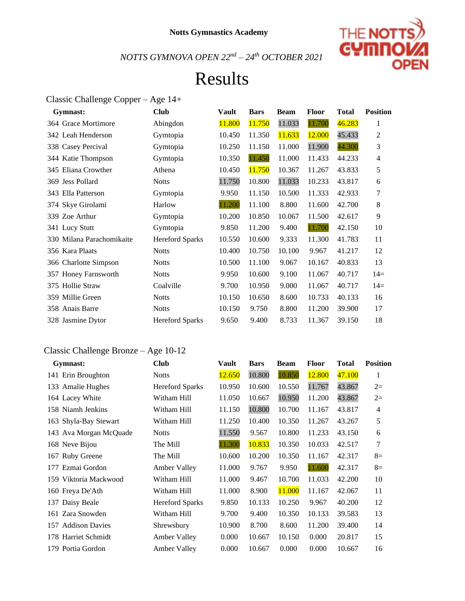

### Results

#### Classic Challenge Copper – Age 14+

| Gymnast:                  | <b>Club</b>            | Vault  | <b>Bars</b> | <b>Beam</b> | <b>Floor</b> | <b>Total</b> | <b>Position</b> |
|---------------------------|------------------------|--------|-------------|-------------|--------------|--------------|-----------------|
| 364 Grace Mortimore       | Abingdon               | 11.800 | 11.750      | 11.033      | 11.700       | 46.283       | 1               |
| 342 Leah Henderson        | Gymtopia               | 10.450 | 11.350      | 11.633      | 12.000       | 45.433       | 2               |
| 338 Casey Percival        | Gymtopia               | 10.250 | 11.150      | 11.000      | 11.900       | 44.300       | 3               |
| 344 Katie Thompson        | Gymtopia               | 10.350 | 11.450      | 11.000      | 11.433       | 44.233       | $\overline{4}$  |
| 345 Eliana Crowther       | Athena                 | 10.450 | 11.750      | 10.367      | 11.267       | 43.833       | 5               |
| 369 Jess Pollard          | <b>Notts</b>           | 11.750 | 10.800      | 11.033      | 10.233       | 43.817       | 6               |
| 343 Ella Patterson        | Gymtopia               | 9.950  | 11.150      | 10.500      | 11.333       | 42.933       | $\overline{7}$  |
| 374 Skye Girolami         | Harlow                 | 11.200 | 11.100      | 8.800       | 11.600       | 42.700       | 8               |
| 339 Zoe Arthur            | Gymtopia               | 10.200 | 10.850      | 10.067      | 11.500       | 42.617       | 9               |
| 341 Lucy Stutt            | Gymtopia               | 9.850  | 11.200      | 9.400       | 11.700       | 42.150       | 10              |
| 330 Milana Parachomikaite | <b>Hereford Sparks</b> | 10.550 | 10.600      | 9.333       | 11.300       | 41.783       | 11              |
| 356 Kara Plaats           | <b>Notts</b>           | 10.400 | 10.750      | 10.100      | 9.967        | 41.217       | 12              |
| 366 Charlotte Simpson     | <b>Notts</b>           | 10.500 | 11.100      | 9.067       | 10.167       | 40.833       | 13              |
| 357 Honey Farnsworth      | <b>Notts</b>           | 9.950  | 10.600      | 9.100       | 11.067       | 40.717       | $14=$           |
| 375 Hollie Straw          | Coalville              | 9.700  | 10.950      | 9.000       | 11.067       | 40.717       | $14=$           |
| 359 Millie Green          | <b>Notts</b>           | 10.150 | 10.650      | 8.600       | 10.733       | 40.133       | 16              |
| 358 Anais Barre           | <b>Notts</b>           | 10.150 | 9.750       | 8.800       | 11.200       | 39.900       | 17              |
| 328 Jasmine Dytor         | <b>Hereford Sparks</b> | 9.650  | 9.400       | 8.733       | 11.367       | 39.150       | 18              |
|                           |                        |        |             |             |              |              |                 |

#### Classic Challenge Bronze – Age 10-12

| Gymnast:                     | <b>Club</b>            | <b>Vault</b> | <b>Bars</b> | <b>Beam</b> | <b>Floor</b> | <b>Total</b> | <b>Position</b> |
|------------------------------|------------------------|--------------|-------------|-------------|--------------|--------------|-----------------|
| 141 Erin Broughton           | <b>Notts</b>           | 12.650       | 10.800      | 10.850      | 12.800       | 47.100       | 1               |
| 133 Amalie Hughes            | <b>Hereford Sparks</b> | 10.950       | 10.600      | 10.550      | 11.767       | 43.867       | $2=$            |
| 164 Lacey White              | Witham Hill            | 11.050       | 10.667      | 10.950      | 11.200       | 43.867       | $2=$            |
| 158 Niamh Jenkins            | Witham Hill            | 11.150       | 10.800      | 10.700      | 11.167       | 43.817       | $\overline{4}$  |
| 163 Shyla-Bay Stewart        | Witham Hill            | 11.250       | 10.400      | 10.350      | 11.267       | 43.267       | 5               |
| 143 Ava Morgan McQuade       | <b>Notts</b>           | 11.550       | 9.567       | 10.800      | 11.233       | 43.150       | 6               |
| 168 Neve Bijou               | The Mill               | 11.300       | 10.833      | 10.350      | 10.033       | 42.517       | 7               |
| 167 Ruby Greene              | The Mill               | 10.600       | 10.200      | 10.350      | 11.167       | 42.317       | $8=$            |
| 177 Ezmai Gordon             | <b>Amber Valley</b>    | 11.000       | 9.767       | 9.950       | 11.600       | 42.317       | $8=$            |
| 159 Viktoria Mackwood        | Witham Hill            | 11.000       | 9.467       | 10.700      | 11.033       | 42.200       | 10              |
| 160 Freya De'Ath             | Witham Hill            | 11.000       | 8.900       | 11.000      | 11.167       | 42.067       | 11              |
| 137 Daisy Beale              | <b>Hereford Sparks</b> | 9.850        | 10.133      | 10.250      | 9.967        | 40.200       | 12              |
| 161 Zara Snowden             | Witham Hill            | 9.700        | 9.400       | 10.350      | 10.133       | 39.583       | 13              |
| <b>Addison Davies</b><br>157 | Shrewsbury             | 10.900       | 8.700       | 8.600       | 11.200       | 39.400       | 14              |
| 178 Harriet Schmidt          | <b>Amber Valley</b>    | 0.000        | 10.667      | 10.150      | 0.000        | 20.817       | 15              |
| 179 Portia Gordon            | <b>Amber Valley</b>    | 0.000        | 10.667      | 0.000       | 0.000        | 10.667       | 16              |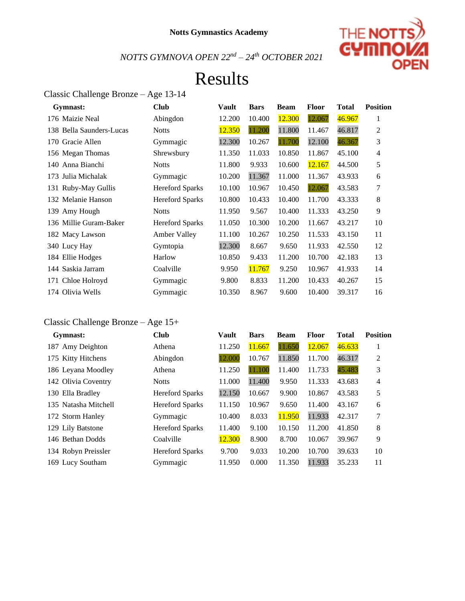

## Results

### Classic Challenge Bronze – Age 13-14

| Gymnast:                 | <b>Club</b>            | <b>Vault</b> | <b>Bars</b> | <b>Beam</b> | <b>Floor</b> | <b>Total</b> | <b>Position</b> |
|--------------------------|------------------------|--------------|-------------|-------------|--------------|--------------|-----------------|
| 176 Maizie Neal          | Abingdon               | 12.200       | 10.400      | 12.300      | 12.067       | 46.967       | 1               |
| 138 Bella Saunders-Lucas | <b>Notts</b>           | 12.350       | 11.200      | 11.800      | 11.467       | 46.817       | 2               |
| 170 Gracie Allen         | Gymmagic               | 12.300       | 10.267      | 11.700      | 12.100       | 46.367       | 3               |
| 156 Megan Thomas         | Shrewsbury             | 11.350       | 11.033      | 10.850      | 11.867       | 45.100       | $\overline{4}$  |
| 140 Anna Bianchi         | <b>Notts</b>           | 11.800       | 9.933       | 10.600      | 12.167       | 44.500       | 5               |
| 173 Julia Michalak       | Gymmagic               | 10.200       | 11.367      | 11.000      | 11.367       | 43.933       | 6               |
| 131 Ruby-May Gullis      | <b>Hereford Sparks</b> | 10.100       | 10.967      | 10.450      | 12.067       | 43.583       | 7               |
| 132 Melanie Hanson       | <b>Hereford Sparks</b> | 10.800       | 10.433      | 10.400      | 11.700       | 43.333       | 8               |
| 139 Amy Hough            | <b>Notts</b>           | 11.950       | 9.567       | 10.400      | 11.333       | 43.250       | 9               |
| 136 Millie Guram-Baker   | <b>Hereford Sparks</b> | 11.050       | 10.300      | 10.200      | 11.667       | 43.217       | 10              |
| 182 Macy Lawson          | <b>Amber Valley</b>    | 11.100       | 10.267      | 10.250      | 11.533       | 43.150       | 11              |
| 340 Lucy Hay             | Gymtopia               | 12.300       | 8.667       | 9.650       | 11.933       | 42.550       | 12              |
| 184 Ellie Hodges         | Harlow                 | 10.850       | 9.433       | 11.200      | 10.700       | 42.183       | 13              |
| 144 Saskia Jarram        | Coalville              | 9.950        | 11.767      | 9.250       | 10.967       | 41.933       | 14              |
| 171 Chloe Holroyd        | Gymmagic               | 9.800        | 8.833       | 11.200      | 10.433       | 40.267       | 15              |
| 174 Olivia Wells         | Gymmagic               | 10.350       | 8.967       | 9.600       | 10.400       | 39.317       | 16              |

#### Classic Challenge Bronze – Age 15+

| Gymnast:             | <b>Club</b>            | <b>Vault</b> | <b>Bars</b> | <b>Beam</b> | <b>Floor</b> | <b>Total</b> | <b>Position</b> |
|----------------------|------------------------|--------------|-------------|-------------|--------------|--------------|-----------------|
| 187 Amy Deighton     | Athena                 | 11.250       | 11.667      | 11.650      | 12.067       | 46.633       | 1               |
| 175 Kitty Hitchens   | Abingdon               | 12.000       | 10.767      | 11.850      | 11.700       | 46.317       | 2               |
| 186 Leyana Moodley   | Athena                 | 11.250       | 11.100      | 11.400      | 11.733       | 45.483       | 3               |
| 142 Olivia Coventry  | <b>Notts</b>           | 11.000       | 11.400      | 9.950       | 11.333       | 43.683       | $\overline{4}$  |
| 130 Ella Bradley     | <b>Hereford Sparks</b> | 12.150       | 10.667      | 9.900       | 10.867       | 43.583       | 5               |
| 135 Natasha Mitchell | <b>Hereford Sparks</b> | 11.150       | 10.967      | 9.650       | 11.400       | 43.167       | 6               |
| 172 Storm Hanley     | Gymmagic               | 10.400       | 8.033       | 11.950      | 11.933       | 42.317       | 7               |
| 129 Lily Batstone    | <b>Hereford Sparks</b> | 11.400       | 9.100       | 10.150      | 11.200       | 41.850       | 8               |
| 146 Bethan Dodds     | Coalville              | 12.300       | 8.900       | 8.700       | 10.067       | 39.967       | 9               |
| 134 Robyn Preissler  | <b>Hereford Sparks</b> | 9.700        | 9.033       | 10.200      | 10.700       | 39.633       | 10              |
| 169 Lucy Southam     | Gymmagic               | 11.950       | 0.000       | 11.350      | 11.933       | 35.233       | 11              |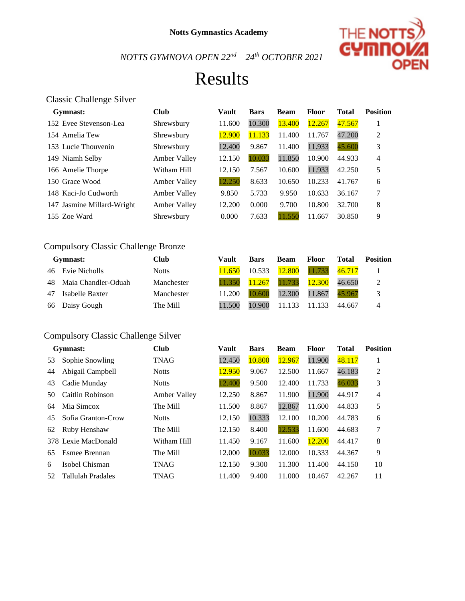

## Results

#### Classic Challenge Silver

| Gymnast:                   | <b>Club</b>         | Vault  | <b>Bars</b> | <b>Beam</b> | <b>Floor</b> | <b>Total</b> | <b>Position</b> |
|----------------------------|---------------------|--------|-------------|-------------|--------------|--------------|-----------------|
| 152 Evee Stevenson-Lea     | Shrewsbury          | 11.600 | 10.300      | 13.400      | 12.267       | 47.567       |                 |
| 154 Amelia Tew             | Shrewsbury          | 12.900 | 11.133      | 11.400      | 11.767       | 47.200       | 2               |
| 153 Lucie Thouvenin        | Shrewsbury          | 12.400 | 9.867       | 11.400      | 11.933       | 45.600       | 3               |
| 149 Niamh Selby            | <b>Amber Valley</b> | 12.150 | 10.033      | 11.850      | 10.900       | 44.933       | 4               |
| 166 Amelie Thorpe          | Witham Hill         | 12.150 | 7.567       | 10.600      | 11.933       | 42.250       | 5               |
| 150 Grace Wood             | <b>Amber Valley</b> | 12.250 | 8.633       | 10.650      | 10.233       | 41.767       | 6               |
| 148 Kaci-Jo Cudworth       | <b>Amber Valley</b> | 9.850  | 5.733       | 9.950       | 10.633       | 36.167       | 7               |
| 147 Jasmine Millard-Wright | Amber Valley        | 12.200 | 0.000       | 9.700       | 10.800       | 32.700       | 8               |
| 155 Zoe Ward               | Shrewsbury          | 0.000  | 7.633       | 11.550      | 11.667       | 30.850       | 9               |

#### Compulsory Classic Challenge Bronze

|    | Gymnast:               | Club         | Vault  | <b>Bars</b> | <b>Beam</b> | <b>Floor</b> | Total  | Position |
|----|------------------------|--------------|--------|-------------|-------------|--------------|--------|----------|
|    | 46 Evie Nicholls       | <b>Notts</b> | 11.650 | 10.533      | 12.800      | 11.733       | 46.717 |          |
|    | 48 Maia Chandler-Oduah | Manchester   | 11.350 | 11.267      | 11.733      | 12.300       | 46.650 | 2        |
| 47 | Isabelle Baxter        | Manchester   | 11.200 | 10.600      | 12.300      | 11.867       | 45.967 | 3        |
|    | 66 Daisy Gough         | The Mill     | 11.500 | 10.900      | 11.133      | 11.133       | 44.667 |          |

#### Compulsory Classic Challenge Silver

|    | Gymnast:            | <b>Club</b>  | Vault  | <b>Bars</b> | <b>Beam</b> | <b>Floor</b> | <b>Total</b> | <b>Position</b> |
|----|---------------------|--------------|--------|-------------|-------------|--------------|--------------|-----------------|
| 53 | Sophie Snowling     | <b>TNAG</b>  | 12.450 | 10.800      | 12.967      | 11.900       | 48.117       | л               |
| 44 | Abigail Campbell    | <b>Notts</b> | 12.950 | 9.067       | 12.500      | 11.667       | 46.183       | 2               |
| 43 | Cadie Munday        | <b>Notts</b> | 12.400 | 9.500       | 12.400      | 11.733       | 46.033       | 3               |
| 50 | Caitlin Robinson    | Amber Valley | 12.250 | 8.867       | 11.900      | 11.900       | 44.917       | 4               |
| 64 | Mia Simcox          | The Mill     | 11.500 | 8.867       | 12.867      | 11.600       | 44.833       | 5               |
| 45 | Sofia Granton-Crow  | <b>Notts</b> | 12.150 | 10.333      | 12.100      | 10.200       | 44.783       | 6               |
| 62 | Ruby Henshaw        | The Mill     | 12.150 | 8.400       | 12.533      | 11.600       | 44.683       | 7               |
|    | 378 Lexie MacDonald | Witham Hill  | 11.450 | 9.167       | 11.600      | 12.200       | 44.417       | 8               |
| 65 | Esmee Brennan       | The Mill     | 12.000 | 10.033      | 12.000      | 10.333       | 44.367       | 9               |
| 6  | Isobel Chisman      | TNAG         | 12.150 | 9.300       | 11.300      | 11.400       | 44.150       | 10              |
| 52 | Tallulah Pradales   | TNAG         | 11.400 | 9.400       | 11.000      | 10.467       | 42.267       | 11              |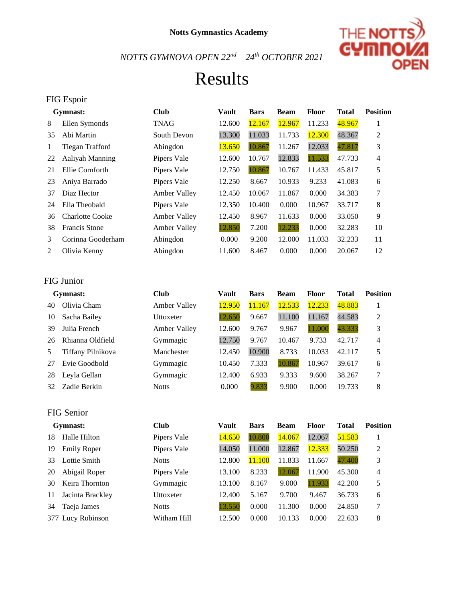

### Results

### FIG Espoir **Gymnast: Club Vault Bars Beam Floor Total Position**  8 Ellen Symonds TNAG 12.600 12.167 12.967 11.233 48.967 1 Abi Martin South Devon 13.300 11.033 11.733 12.300 48.367 2 Tiegan Trafford Abingdon 13.650 10.867 11.267 12.033 47.817 3 22 Aaliyah Manning Pipers Vale 12.600 10.767 12.833 11.533 47.733 4 Ellie Cornforth Pipers Vale 12.750 10.867 10.767 11.433 45.817 5 Aniya Barrado Pipers Vale 12.250 8.667 10.933 9.233 41.083 6 Diaz Hector Amber Valley 12.450 10.067 11.867 0.000 34.383 7 Ella Theobald Pipers Vale 12.350 10.400 0.000 10.967 33.717 8 Charlotte Cooke Amber Valley 12.450 8.967 11.633 0.000 33.050 9 Francis Stone Amber Valley 12.850 7.200 12.233 0.000 32.283 10 Corinna Gooderham Abingdon 0.000 9.200 12.000 11.033 32.233 11 Olivia Kenny Abingdon 11.600 8.467 0.000 0.000 20.067 12

#### FIG Junior

|     | Gymnast:          | Club                | <b>Vault</b> | <b>Bars</b> | <b>Beam</b> | Floor  | <b>Total</b> | <b>Position</b> |
|-----|-------------------|---------------------|--------------|-------------|-------------|--------|--------------|-----------------|
| 40  | Olivia Cham       | <b>Amber Valley</b> | 12.950       | 11.167      | 12.533      | 12.233 | 48.883       |                 |
| 10  | Sacha Bailey      | Uttoxeter           | 12.650       | 9.667       | 11.100      | 11.167 | 44.583       | 2               |
| 39  | Julia French      | <b>Amber Valley</b> | 12.600       | 9.767       | 9.967       | 11.000 | 43.333       | 3               |
| 26  | Rhianna Oldfield  | Gymmagic            | 12.750       | 9.767       | 10.467      | 9.733  | 42.717       | 4               |
| 5   | Tiffany Pilnikova | Manchester          | 12.450       | 10.900      | 8.733       | 10.033 | 42.117       | 5               |
| 27  | Evie Goodbold     | Gymmagic            | 10.450       | 7.333       | 10.867      | 10.967 | 39.617       | 6               |
| 28  | Leyla Gellan      | Gymmagic            | 12.400       | 6.933       | 9.333       | 9.600  | 38.267       | 7               |
| 32. | Zadie Berkin      | <b>Notts</b>        | 0.000        | 9.833       | 9.900       | 0.000  | 19.733       | 8               |
|     |                   |                     |              |             |             |        |              |                 |

#### FIG Senior

|    | Gymnast:           | Club         | Vault  | <b>Bars</b> | <b>Beam</b> | <b>Floor</b> | Total  | <b>Position</b> |
|----|--------------------|--------------|--------|-------------|-------------|--------------|--------|-----------------|
| 18 | Halle Hilton       | Pipers Vale  | 14.650 | 10.800      | 14.067      | 12.067       | 51.583 |                 |
| 19 | <b>Emily Roper</b> | Pipers Vale  | 14.050 | 11.000      | 12.867      | 12.333       | 50.250 | 2               |
| 33 | Lottie Smith       | <b>Notts</b> | 12.800 | 11.100      | 11.833      | 11.667       | 47.400 | 3               |
| 20 | Abigail Roper      | Pipers Vale  | 13.100 | 8.233       | 12.067      | 11.900       | 45.300 | 4               |
| 30 | Keira Thornton     | Gymmagic     | 13.100 | 8.167       | 9.000       | 11.933       | 42.200 | 5               |
| 11 | Jacinta Brackley   | Uttoxeter    | 12.400 | 5.167       | 9.700       | 9.467        | 36.733 | 6               |
| 34 | Taeja James        | <b>Notts</b> | 13.550 | 0.000       | 11.300      | 0.000        | 24.850 | 7               |
|    | 377 Lucy Robinson  | Witham Hill  | 12.500 | 0.000       | 10.133      | 0.000        | 22.633 | 8               |